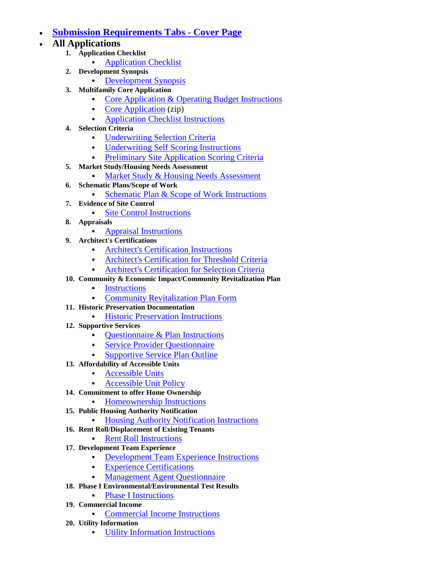## **[Submission Requirements Tabs -](http://www.phfa.org/forms/multifamily_application_guidelines/submission/dv_tb00_cvrpg.pdf) Cover Page**

- **All Applications**
	- **1. Application Checklist**
		- [Application Checklist](http://www.phfa.org/forms/multifamily_application_guidelines/submission/dv_tb00_cvrpg.pdf)
	- **2. Development Synopsis**
		- [Development Synopsis](http://www.phfa.org/forms/multifamily_application_guidelines/submission/dv_tb01_dvlpmnt_synpss.pdf)
	- **3. Multifamily Core Application**
		- [Core Application & Operating Budget Instructions](http://www.phfa.org/forms/multifamily_application_guidelines/submission/dv_tb02_cr_applctn_instrctns.pdf)
		- [Core Application](http://www.phfa.org/files/mf_application/Core_Application.zip) (zip)
		- **[Application Checklist Instructions](http://www.phfa.org/forms/multifamily_application_guidelines/submission/dv_tb02_oprtns_chcklst.pdf)**
	- **4. Selection Criteria**
		- [Underwriting Selection Criteria](http://www.phfa.org/forms/multifamily_application_guidelines/submission/dv_tb03_2012_slctn_crtr.pdf)
		- [Underwriting Self Scoring Instructions](http://www.phfa.org/forms/multifamily_application_guidelines/submission/dv_tb03_slf_scrng_instrctns.pdf)
		- **[Preliminary Site Application Scoring Criteria](http://www.phfa.org/forms/multifamily_application_guidelines/submission/dv_tb03_st_app_scrng_crtr.pdf)**
	- **5. Market Study/Housing Needs Assessment**
		- **[Market Study & Housing Needs Assessment](http://www.phfa.org/forms/multifamily_application_guidelines/submission/dv_tb04_mrkt_stdy_hsng_nds.pdf)**
	- **6. Schematic Plans/Scope of Work**
		- [Schematic Plan & Scope of Work Instructions](http://www.phfa.org/forms/multifamily_application_guidelines/submission/dv_tb05_schmtc_pln_scp_wrk_instrctns.pdf)
	- **7. Evidence of Site Control**
		- **[Site Control Instructions](http://www.phfa.org/forms/multifamily_application_guidelines/submission/dv_tb06_st_cntrl_instrctns.pdf)**
	- **8. Appraisals**
		- **[Appraisal Instructions](http://www.phfa.org/forms/multifamily_application_guidelines/submission/dv_tb07_apprsl_snstrctns.pdf)**
	- **9. Architect's Certifications**
		- [Architect's Certification Instructions](http://www.phfa.org/forms/multifamily_application_guidelines/submission/dv_tb08_archtcts_crtfctn_instrctns.pdf)
		- [Architect's Certification for Threshold Criteria](http://www.phfa.org/forms/multifamily_application_guidelines/submission/dv_tb08_archtcts_crt_thrshd_crtra.pdf)
		- [Architect's Certification for Selection Criteria](http://www.phfa.org/forms/multifamily_application_guidelines/submission/dv_tb08_archtcts_crt_slctn_crtra.pdf)
	- **10. Community & Economic Impact/Community Revitalization Plan**
		- **[Instructions](http://www.phfa.org/forms/multifamily_application_guidelines/submission/dv_tb09_cmmnty_ecnmc_impct.pdf)**
		- [Community Revitalization Plan Form](http://www.phfa.org/forms/multifamily_application_guidelines/submission/dv_tb09_cmmnty_impct_frm.pdf)
	- **11. Historic Preservation Documentation**
		- **[Historic Preservation Instructions](http://www.phfa.org/forms/multifamily_application_guidelines/submission/dv_tb10_hstrc_prsrvtn_instrctns.pdf)**
	- **12. Supportive Services**
		- [Questionnaire & Plan Instructions](http://www.phfa.org/forms/multifamily_application_guidelines/submission/dv_tb11_qstnnr_pln_instrctns.pdf)
		- [Service Provider Questionnaire](http://www.phfa.org/forms/multifamily_application_guidelines/submission/dv_tb11_srvc_prvdr_qstnnr.pdf)
		- **[Supportive Service Plan Outline](http://www.phfa.org/forms/multifamily_application_guidelines/submission/dv_tb11_spprtv_srvcs_pln_otln.pdf)**
	- **13. Affordability of Accessible Units**
		- **[Accessible Units](http://www.phfa.org/forms/multifamily_application_guidelines/submission/dv_tb12_accssbl_unts.pdf)**
		- [Accessible Unit Policy](http://www.phfa.org/forms/multifamily_application_guidelines/submission/dv_02_accssbl_unt_plcy.pdf)
	- **14. Commitment to offer Home Ownership**
		- **[Homeownership Instructions](http://www.phfa.org/forms/multifamily_application_guidelines/submission/dv_tb13_hmwnrshp_instrctns.pdf)**
	- **15. Public Housing Authority Notification**
		- **[Housing Authority Notification Instructions](http://www.phfa.org/forms/multifamily_application_guidelines/submission/dv_tb14_pblc_hsng_athrty_ntfctn.pdf)**
	- **16. Rent Roll/Displacement of Existing Tenants**
		- **[Rent Roll Instructions](http://www.phfa.org/forms/multifamily_application_guidelines/submission/dv_tb15_rnt_rl_instrctns.pdf)**
	- **17. Development Team Experience**
		- [Development Team Experience Instructions](http://www.phfa.org/forms/multifamily_application_guidelines/submission/dv_tb16_dvlpmnt_tm_exprnc_instrctns.pdf)
		- **[Experience Certifications](http://www.phfa.org/forms/multifamily_application_guidelines/submission/dv_tb16_exprnc_crtfctns.pdf)**
		- **[Management Agent Questionnaire](http://www.phfa.org/forms/multifamily_application_guidelines/submission/dv_tb16_mngmnt_agnt_qstnnr.pdf)**
	- **18. Phase I Environmental/Environmental Test Results**
		- [Phase I Instructions](http://www.phfa.org/forms/multifamily_application_guidelines/submission/dv_tb17_phs_1_instrctns.pdf)
	- **19. Commercial Income**
		- [Commercial Income Instructions](http://www.phfa.org/forms/multifamily_application_guidelines/submission/dv_tb18_cmmrcl_incm_instrctns.pdf)
	- **20. Utility Information**
		- [Utility Information Instructions](http://www.phfa.org/forms/multifamily_application_guidelines/submission/dv_tb19_utlty_infrmtn_instrctns.pdf)